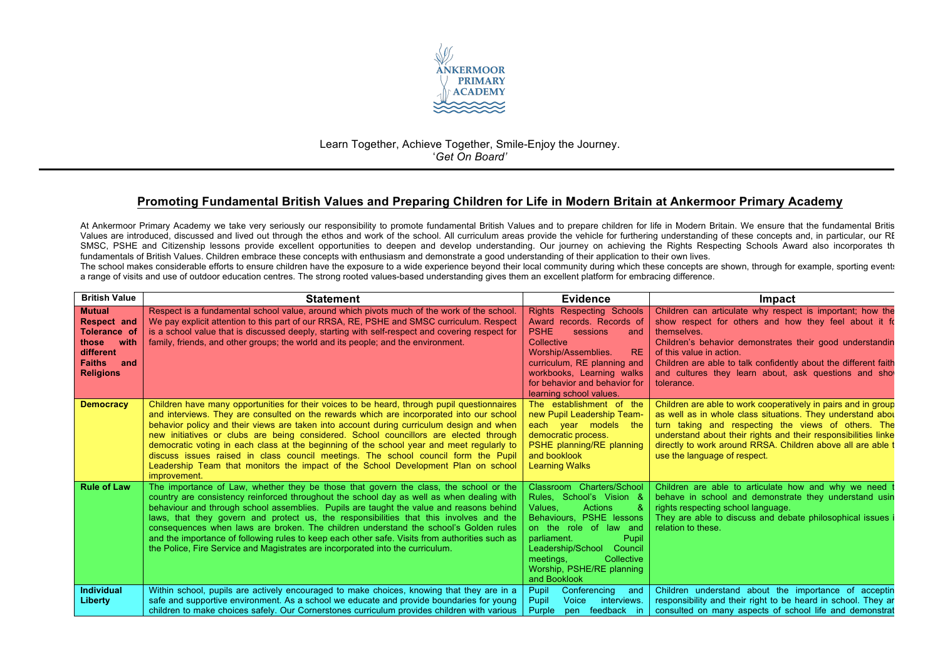

## Learn Together, Achieve Together, Smile-Enjoy the Journey. '*Get On Board'*

## **Promoting Fundamental British Values and Preparing Children for Life in Modern Britain at Ankermoor Primary Academy**

At Ankermoor Primary Academy we take very seriously our responsibility to promote fundamental British Values and to prepare children for life in Modern Britain. We ensure that the fundamental Britis Values are introduced, discussed and lived out through the ethos and work of the school. All curriculum areas provide the vehicle for furthering understanding of these concepts and, in particular, our RE SMSC, PSHE and Citizenship lessons provide excellent opportunities to deepen and develop understanding. Our journey on achieving the Rights Respecting Schools Award also incorporates the fundamentals of British Values. Children embrace these concepts with enthusiasm and demonstrate a good understanding of their application to their own lives.

The school makes considerable efforts to ensure children have the exposure to a wide experience beyond their local community during which these concepts are shown, through for example, sporting events a range of visits and use of outdoor education centres. The strong rooted values-based understanding gives them an excellent platform for embracing difference.

| <b>British Value</b>                                                                                                              | <b>Statement</b>                                                                                                                                                                                                                                                                                                                                                                                                                                                                                                                                                                                                                                                     | <b>Evidence</b>                                                                                                                                                                                                                                                           | Impact                                                                                                                                                                                                                                                                                                                                                               |
|-----------------------------------------------------------------------------------------------------------------------------------|----------------------------------------------------------------------------------------------------------------------------------------------------------------------------------------------------------------------------------------------------------------------------------------------------------------------------------------------------------------------------------------------------------------------------------------------------------------------------------------------------------------------------------------------------------------------------------------------------------------------------------------------------------------------|---------------------------------------------------------------------------------------------------------------------------------------------------------------------------------------------------------------------------------------------------------------------------|----------------------------------------------------------------------------------------------------------------------------------------------------------------------------------------------------------------------------------------------------------------------------------------------------------------------------------------------------------------------|
| <b>Mutual</b><br><b>Respect and</b><br><b>Tolerance of</b><br>those with<br>different<br><b>Faiths</b><br>and<br><b>Religions</b> | Respect is a fundamental school value, around which pivots much of the work of the school.<br>We pay explicit attention to this part of our RRSA, RE, PSHE and SMSC curriculum. Respect<br>is a school value that is discussed deeply, starting with self-respect and covering respect for<br>family, friends, and other groups; the world and its people; and the environment.                                                                                                                                                                                                                                                                                      | <b>Rights Respecting Schools</b><br>Award records. Records of<br><b>PSHE</b><br>sessions<br>and<br>Collective<br>Worship/Assemblies.<br><b>RE</b><br>curriculum, RE planning and<br>workbooks, Learning walks<br>for behavior and behavior for<br>learning school values. | Children can articulate why respect is important; how the<br>show respect for others and how they feel about it for<br>themselves.<br>Children's behavior demonstrates their good understandin<br>of this value in action.<br>Children are able to talk confidently about the different faith<br>and cultures they learn about, ask questions and show<br>tolerance. |
| <b>Democracy</b>                                                                                                                  | Children have many opportunities for their voices to be heard, through pupil questionnaires<br>and interviews. They are consulted on the rewards which are incorporated into our school<br>behavior policy and their views are taken into account during curriculum design and when<br>new initiatives or clubs are being considered. School councillors are elected through<br>democratic voting in each class at the beginning of the school year and meet regularly to<br>discuss issues raised in class council meetings. The school council form the Pupil<br>Leadership Team that monitors the impact of the School Development Plan on school<br>improvement. | The establishment of the<br>new Pupil Leadership Team-<br>each year models the<br>democratic process.<br>PSHE planning/RE planning<br>and booklook<br><b>Learning Walks</b>                                                                                               | Children are able to work cooperatively in pairs and in group<br>as well as in whole class situations. They understand about<br>turn taking and respecting the views of others. The<br>understand about their rights and their responsibilities linke<br>directly to work around RRSA. Children above all are able t<br>use the language of respect.                 |
| <b>Rule of Law</b>                                                                                                                | The importance of Law, whether they be those that govern the class, the school or the<br>country are consistency reinforced throughout the school day as well as when dealing with<br>behaviour and through school assemblies. Pupils are taught the value and reasons behind<br>laws, that they govern and protect us, the responsibilities that this involves and the<br>consequences when laws are broken. The children understand the school's Golden rules<br>and the importance of following rules to keep each other safe. Visits from authorities such as<br>the Police. Fire Service and Magistrates are incorporated into the curriculum.                  | Classroom Charters/School<br>Rules, School's Vision &<br><b>Actions</b><br>Values.<br>Behaviours. PSHE lessons<br>on the role of law and<br>Pupil<br>parliament.<br>Leadership/School<br>Council<br>Collective<br>meetings,<br>Worship, PSHE/RE planning<br>and Booklook  | Children are able to articulate how and why we need<br>behave in school and demonstrate they understand usin<br>rights respecting school language.<br>They are able to discuss and debate philosophical issues<br>relation to these.                                                                                                                                 |
| <b>Individual</b><br>Liberty                                                                                                      | Within school, pupils are actively encouraged to make choices, knowing that they are in a<br>safe and supportive environment. As a school we educate and provide boundaries for young<br>children to make choices safely. Our Cornerstones curriculum provides children with various                                                                                                                                                                                                                                                                                                                                                                                 | Pupil<br>Conferencing<br>and<br>Pupil<br>interviews.<br>Voice<br>Purple<br>feedback in<br>pen                                                                                                                                                                             | Children understand about the importance of acceptin<br>responsibility and their right to be heard in school. They ar<br>consulted on many aspects of school life and demonstrat                                                                                                                                                                                     |